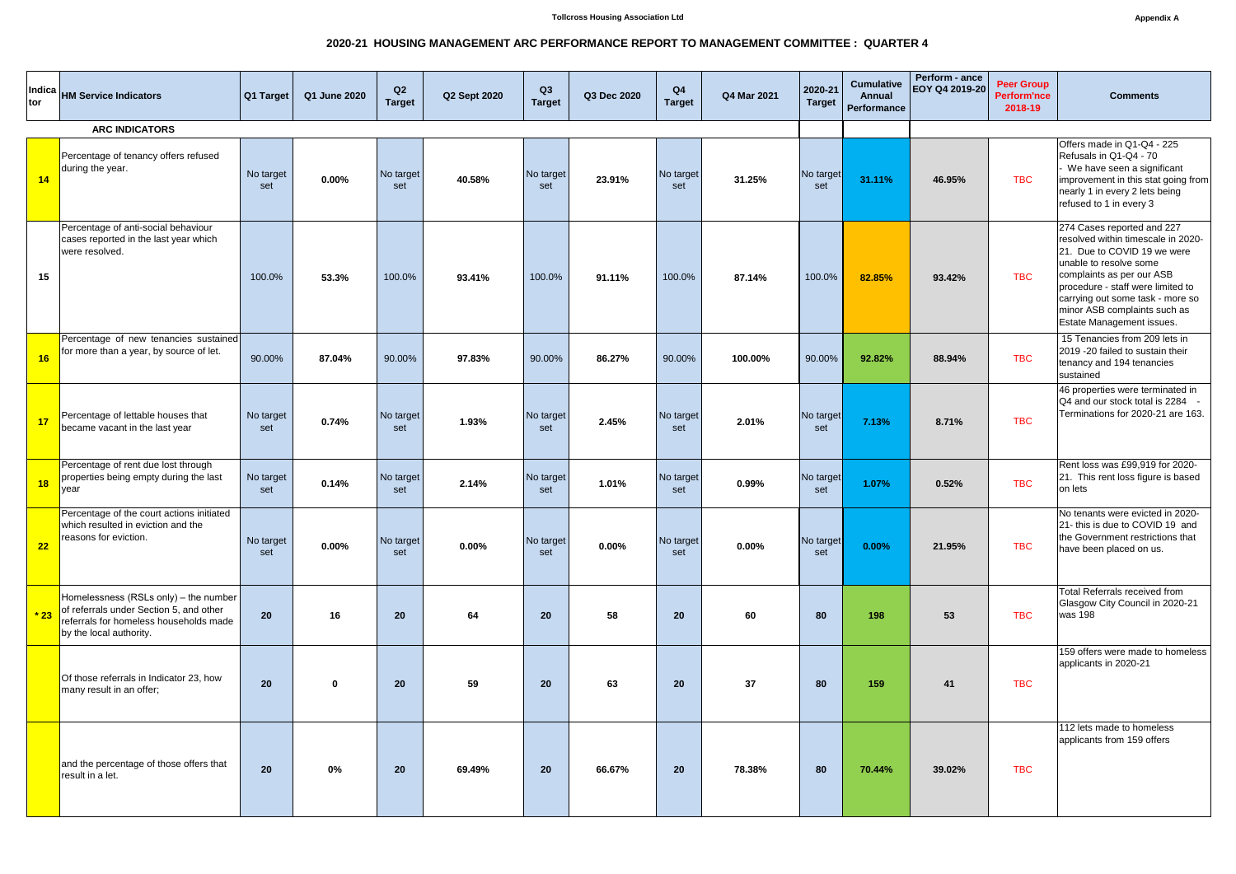## **2020-21 HOUSING MANAGEMENT ARC PERFORMANCE REPORT TO MANAGEMENT COMMITTEE : QUARTER 4**

| Indica<br>tor         | <b>HM Service Indicators</b>                                                                                                                              | Q1 Target        | Q1 June 2020 | Q2<br><b>Target</b> | <b>Q2 Sept 2020</b> | Q3<br><b>Target</b> | Q3 Dec 2020 | Q <sub>4</sub><br><b>Target</b> | Q4 Mar 2021 | 2020-21<br><b>Target</b> | <b>Cumulative</b><br><b>Annual</b><br>Performance | Perform - ance<br>EOY Q4 2019-20 | <b>Peer Group</b><br><b>Perform'nce</b><br>2018-19 | <b>Comments</b>                                                                                                                                                                                                                                                                              |
|-----------------------|-----------------------------------------------------------------------------------------------------------------------------------------------------------|------------------|--------------|---------------------|---------------------|---------------------|-------------|---------------------------------|-------------|--------------------------|---------------------------------------------------|----------------------------------|----------------------------------------------------|----------------------------------------------------------------------------------------------------------------------------------------------------------------------------------------------------------------------------------------------------------------------------------------------|
| <b>ARC INDICATORS</b> |                                                                                                                                                           |                  |              |                     |                     |                     |             |                                 |             |                          |                                                   |                                  |                                                    |                                                                                                                                                                                                                                                                                              |
| 14                    | Percentage of tenancy offers refused<br>during the year.                                                                                                  | No target<br>set | 0.00%        | No target<br>set    | 40.58%              | No target<br>set    | 23.91%      | No target<br>set                | 31.25%      | No target<br>set         | 31.11%                                            | 46.95%                           | <b>TBC</b>                                         | Offers made in Q1-Q4 - 225<br>Refusals in Q1-Q4 - 70<br>We have seen a significant<br>improvement in this stat going from<br>nearly 1 in every 2 lets being<br>refused to 1 in every 3                                                                                                       |
| 15                    | Percentage of anti-social behaviour<br>cases reported in the last year which<br>were resolved.                                                            | 100.0%           | 53.3%        | 100.0%              | 93.41%              | 100.0%              | 91.11%      | 100.0%                          | 87.14%      | 100.0%                   | 82.85%                                            | 93.42%                           | <b>TBC</b>                                         | 274 Cases reported and 227<br>resolved within timescale in 2020-<br>21. Due to COVID 19 we were<br>unable to resolve some<br>complaints as per our ASB<br>procedure - staff were limited to<br>carrying out some task - more so<br>minor ASB complaints such as<br>Estate Management issues. |
| 16                    | Percentage of new tenancies sustained<br>for more than a year, by source of let.                                                                          | 90.00%           | 87.04%       | 90.00%              | 97.83%              | 90.00%              | 86.27%      | 90.00%                          | 100.00%     | 90.00%                   | 92.82%                                            | 88.94%                           | <b>TBC</b>                                         | 15 Tenancies from 209 lets in<br>2019 -20 failed to sustain their<br>tenancy and 194 tenancies<br>sustained                                                                                                                                                                                  |
| 17                    | Percentage of lettable houses that<br>became vacant in the last year                                                                                      | No target<br>set | 0.74%        | No target<br>set    | 1.93%               | No target<br>set    | 2.45%       | No target<br>set                | 2.01%       | No target<br>set         | 7.13%                                             | 8.71%                            | <b>TBC</b>                                         | 46 properties were terminated in<br>Q4 and our stock total is 2284 -<br>Terminations for 2020-21 are 163.                                                                                                                                                                                    |
| 18                    | Percentage of rent due lost through<br>properties being empty during the last<br>year                                                                     | No target<br>set | 0.14%        | No target<br>set    | 2.14%               | No target<br>set    | 1.01%       | No target<br>set                | 0.99%       | No target<br>set         | 1.07%                                             | 0.52%                            | <b>TBC</b>                                         | Rent loss was £99,919 for 2020-<br>21. This rent loss figure is based<br>on lets                                                                                                                                                                                                             |
| 22                    | Percentage of the court actions initiated<br>which resulted in eviction and the<br>reasons for eviction.                                                  | No target<br>set | 0.00%        | No target<br>set    | 0.00%               | No target<br>set    | 0.00%       | No target<br>set                | 0.00%       | No target<br>set         | 0.00%                                             | 21.95%                           | <b>TBC</b>                                         | No tenants were evicted in 2020-<br>21- this is due to COVID 19 and<br>the Government restrictions that<br>have been placed on us.                                                                                                                                                           |
| $*23$                 | Homelessness (RSLs only) – the number $ $<br>of referrals under Section 5, and other<br>referrals for homeless households made<br>by the local authority. | 20 <sub>2</sub>  | 16           | 20                  | 64                  | 20                  | 58          | <b>20</b>                       | 60          | 80                       | 198                                               | 53                               | <b>TBC</b>                                         | Total Referrals received from<br>Glasgow City Council in 2020-21<br>was 198                                                                                                                                                                                                                  |
|                       | Of those referrals in Indicator 23, how<br>many result in an offer;                                                                                       | 20 <sub>2</sub>  | $\mathbf 0$  | <b>20</b>           | 59                  | 20                  | 63          | <b>20</b>                       | 37          | 80                       | 159                                               | 41                               | <b>TBC</b>                                         | 159 offers were made to homeless<br>applicants in 2020-21                                                                                                                                                                                                                                    |
|                       | and the percentage of those offers that<br>result in a let.                                                                                               | 20 <sub>2</sub>  | $0\%$        | <b>20</b>           | 69.49%              | 20                  | 66.67%      | <b>20</b>                       | 78.38%      | 80                       | 70.44%                                            | 39.02%                           | <b>TBC</b>                                         | 112 lets made to homeless<br>applicants from 159 offers                                                                                                                                                                                                                                      |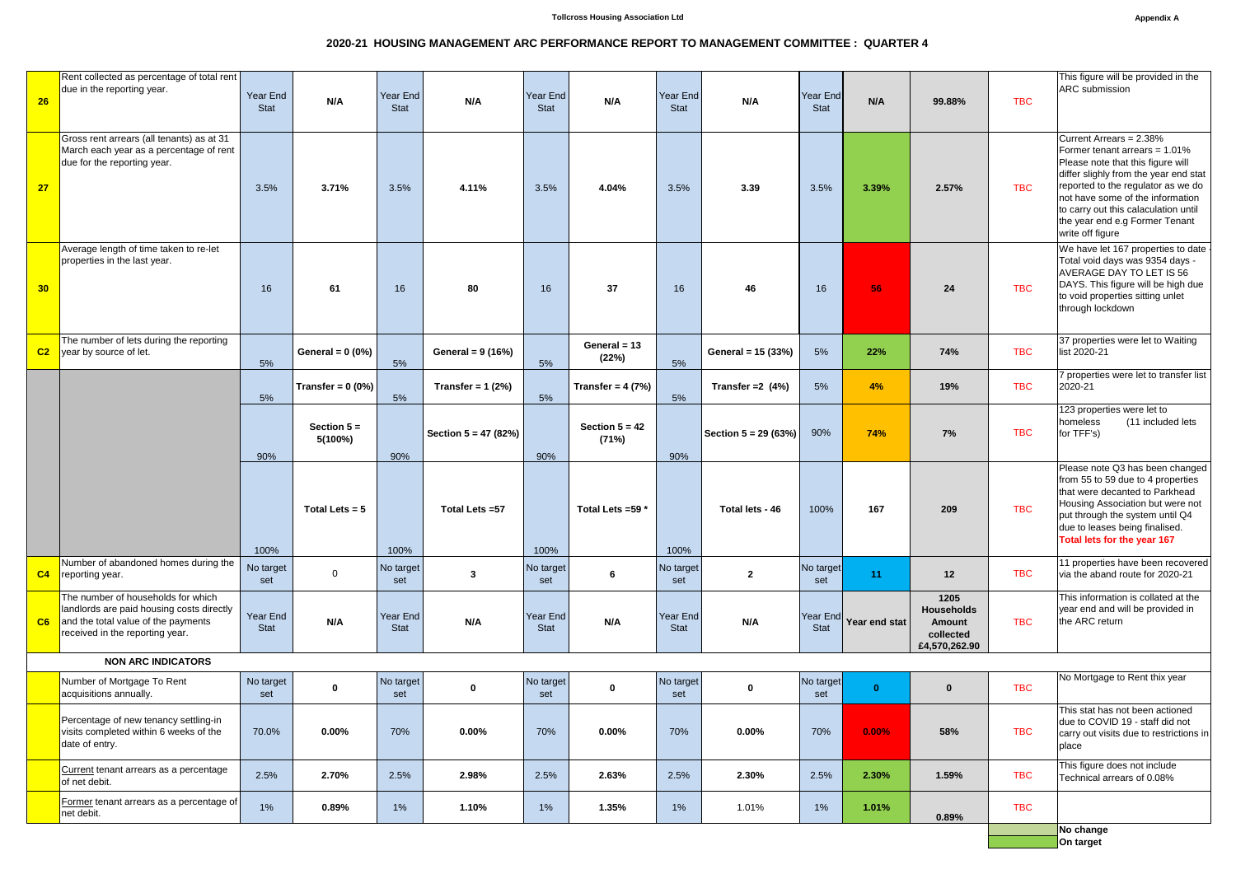## **2020-21 HOUSING MANAGEMENT ARC PERFORMANCE REPORT TO MANAGEMENT COMMITTEE : QUARTER 4**

|                           | Rent collected as percentage of total rent                                                                                                                |                  |                          |                  |                        |                  |                           |                  |                        |                  | This figure will be provided in the |                                                                   |            |                                                                                                                                                                                                                                                                                                                |
|---------------------------|-----------------------------------------------------------------------------------------------------------------------------------------------------------|------------------|--------------------------|------------------|------------------------|------------------|---------------------------|------------------|------------------------|------------------|-------------------------------------|-------------------------------------------------------------------|------------|----------------------------------------------------------------------------------------------------------------------------------------------------------------------------------------------------------------------------------------------------------------------------------------------------------------|
| 26                        | due in the reporting year.                                                                                                                                | Year End         | N/A                      | Year End         | N/A                    | Year End         | N/A                       | Year End         | N/A                    | Year End         | N/A                                 | 99.88%                                                            | <b>TBC</b> | ARC submission                                                                                                                                                                                                                                                                                                 |
|                           |                                                                                                                                                           | <b>Stat</b>      |                          | Stat             |                        | <b>Stat</b>      |                           | <b>Stat</b>      |                        | <b>Stat</b>      |                                     |                                                                   |            |                                                                                                                                                                                                                                                                                                                |
| 27                        | Gross rent arrears (all tenants) as at 31<br>March each year as a percentage of rent<br>due for the reporting year.                                       | 3.5%             | 3.71%                    | 3.5%             | 4.11%                  | 3.5%             | 4.04%                     | 3.5%             | 3.39                   | 3.5%             | 3.39%                               | 2.57%                                                             | <b>TBC</b> | Current Arrears = 2.38%<br>Former tenant arrears = 1.01%<br>Please note that this figure will<br>differ slighly from the year end stat<br>reported to the regulator as we do<br>not have some of the information<br>to carry out this calaculation until<br>the year end e.g Former Tenant<br>write off figure |
| 30                        | Average length of time taken to re-let<br>properties in the last year.                                                                                    | 16               | 61                       | 16               | 80                     | 16               | 37                        | 16               | 46                     | 16               | 56                                  | 24                                                                | <b>TBC</b> | We have let 167 properties to date<br>Total void days was 9354 days -<br>AVERAGE DAY TO LET IS 56<br>DAYS. This figure will be high due<br>to void properties sitting unlet<br>through lockdown                                                                                                                |
| C <sub>2</sub>            | The number of lets during the reporting<br>year by source of let.                                                                                         | 5%               | General = $0(0\%)$       | 5%               | General = 9 (16%)      | 5%               | General = $13$<br>(22%)   | 5%               | General = 15 (33%)     | 5%               | 22%                                 | 74%                                                               | <b>TBC</b> | 37 properties were let to Waiting<br>list 2020-21                                                                                                                                                                                                                                                              |
|                           |                                                                                                                                                           | 5%               | Transfer = $0(0\%)$      | 5%               | Transfer = $1(2%)$     | 5%               | Transfer = $4(7%)$        | 5%               | Transfer = $2(4%)$     | 5%               | 4%                                  | 19%                                                               | <b>TBC</b> | 7 properties were let to transfer list<br>2020-21                                                                                                                                                                                                                                                              |
|                           |                                                                                                                                                           | 90%              | Section $5 =$<br>5(100%) | 90%              | Section $5 = 47 (82%)$ | 90%              | Section $5 = 42$<br>(71%) | 90%              | Section $5 = 29 (63%)$ | 90%              | 74%                                 | 7%                                                                | <b>TBC</b> | 123 properties were let to<br>homeless<br>(11 included lets<br>for TFF's)                                                                                                                                                                                                                                      |
|                           |                                                                                                                                                           | 100%             | Total Lets = $5$         | 100%             | Total Lets = 57        | 100%             | Total Lets = 59 *         | 100%             | Total lets - 46        | 100%             | 167                                 | 209                                                               | <b>TBC</b> | Please note Q3 has been changed<br>from 55 to 59 due to 4 properties<br>that were decanted to Parkhead<br>Housing Association but were not<br>put through the system until Q4<br>due to leases being finalised.<br>Total lets for the year 167                                                                 |
| C <sub>4</sub>            | Number of abandoned homes during the<br>reporting year.                                                                                                   | No target<br>set | $\overline{0}$           | No target<br>set | $\mathbf{3}$           | No target<br>set | 6                         | No target<br>set | $\overline{2}$         | No target<br>set | 11                                  | 12                                                                | <b>TBC</b> | 11 properties have been recovered<br>via the aband route for 2020-21                                                                                                                                                                                                                                           |
| C6                        | The number of households for which<br>landlords are paid housing costs directly<br>and the total value of the payments<br>received in the reporting year. | Year End<br>Stat | N/A                      | Year End<br>Stat | N/A                    | Year End<br>Stat | N/A                       | Year End<br>Stat | N/A                    | Stat             | Year End Year end stat              | 1205<br><b>Households</b><br>Amount<br>collected<br>£4,570,262.90 | <b>TBC</b> | This information is collated at the<br>year end and will be provided in<br>the ARC return                                                                                                                                                                                                                      |
| <b>NON ARC INDICATORS</b> |                                                                                                                                                           |                  |                          |                  |                        |                  |                           |                  |                        |                  |                                     |                                                                   |            |                                                                                                                                                                                                                                                                                                                |
|                           | Number of Mortgage To Rent<br>acquisitions annually.                                                                                                      | No target<br>set | $\bf{0}$                 | No target<br>set | $\bf{0}$               | No target<br>set | $\mathbf 0$               | No target<br>set | $\mathbf 0$            | No target<br>set | $\bf{0}$                            | $\bf{0}$                                                          | <b>TBC</b> | No Mortgage to Rent thix year                                                                                                                                                                                                                                                                                  |
|                           | Percentage of new tenancy settling-in<br>visits completed within 6 weeks of the<br>date of entry.                                                         | 70.0%            | 0.00%                    | 70%              | 0.00%                  | 70%              | $0.00\%$                  | 70%              | 0.00%                  | 70%              | 0.00%                               | 58%                                                               | <b>TBC</b> | This stat has not been actioned<br>due to COVID 19 - staff did not<br>carry out visits due to restrictions in<br>place                                                                                                                                                                                         |
|                           | Current tenant arrears as a percentage<br>of net debit.                                                                                                   | 2.5%             | 2.70%                    | 2.5%             | 2.98%                  | 2.5%             | 2.63%                     | 2.5%             | 2.30%                  | 2.5%             | 2.30%                               | 1.59%                                                             | <b>TBC</b> | This figure does not include<br>Technical arrears of 0.08%                                                                                                                                                                                                                                                     |
|                           | Former tenant arrears as a percentage of<br>net debit.                                                                                                    | 1%               | 0.89%                    | 1%               | 1.10%                  | 1%               | 1.35%                     | 1%               | 1.01%                  | 1%               | 1.01%                               | 0.89%                                                             | <b>TBC</b> |                                                                                                                                                                                                                                                                                                                |
|                           |                                                                                                                                                           |                  |                          |                  |                        |                  |                           |                  |                        |                  |                                     |                                                                   |            | No change<br>On target                                                                                                                                                                                                                                                                                         |